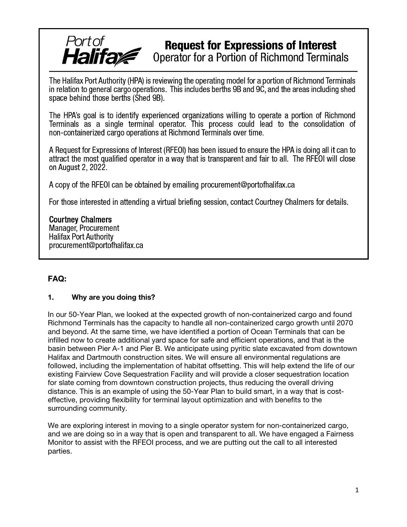# **Request for Expressions of Interest** Operator for a Portion of Richmond Terminals

The Halifax Port Authority (HPA) is reviewing the operating model for a portion of Richmond Terminals in relation to general cargo operations. This includes berths 9B and 9C, and the areas including shed space behind those berths (Shed 9B).

The HPA's goal is to identify experienced organizations willing to operate a portion of Richmond Terminals as a single terminal operator. This process could lead to the consolidation of non-containerized cargo operations at Richmond Terminals over time.

A Request for Expressions of Interest (RFEOI) has been issued to ensure the HPA is doing all it can to attract the most qualified operator in a way that is transparent and fair to all. The RFEOI will close on August 2, 2022.

A copy of the RFEOI can be obtained by emailing procurement@portofhalifax.ca

For those interested in attending a virtual briefing session, contact Courtney Chalmers for details.

**Courtney Chalmers** Manager, Procurement **Halifax Port Authority** procurement@portofhalifax.ca

Port of<br>**Halifa** 

## FAQ:

#### 1. Why are you doing this?

In our 50-Year Plan, we looked at the expected growth of non-containerized cargo and found Richmond Terminals has the capacity to handle all non-containerized cargo growth until 2070 and beyond. At the same time, we have identified a portion of Ocean Terminals that can be infilled now to create additional yard space for safe and efficient operations, and that is the basin between Pier A-1 and Pier B. We anticipate using pyritic slate excavated from downtown Halifax and Dartmouth construction sites. We will ensure all environmental regulations are followed, including the implementation of habitat offsetting. This will help extend the life of our existing Fairview Cove Sequestration Facility and will provide a closer sequestration location for slate coming from downtown construction projects, thus reducing the overall driving distance. This is an example of using the 50-Year Plan to build smart, in a way that is costeffective, providing flexibility for terminal layout optimization and with benefits to the surrounding community.

We are exploring interest in moving to a single operator system for non-containerized cargo, and we are doing so in a way that is open and transparent to all. We have engaged a Fairness Monitor to assist with the RFEOI process, and we are putting out the call to all interested parties.